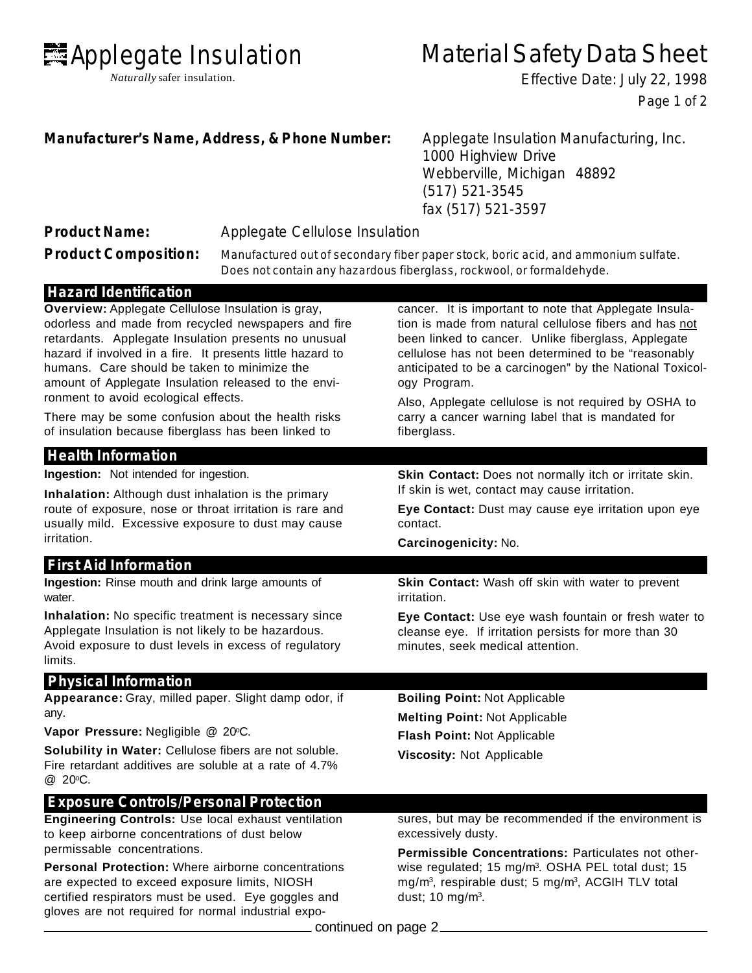

*Naturally* safer insulation.

# Material Safety Data Sheet

Effective Date: July 22, 1998 Page 1 of 2

## **Manufacturer's Name, Address, & Phone Number:** Applegate Insulation Manufacturing, Inc.

1000 Highview Drive Webberville, Michigan 48892 (517) 521-3545 fax (517) 521-3597

|  | <b>Product Name:</b> |  |
|--|----------------------|--|
|  |                      |  |

**Product Name:** Applegate Cellulose Insulation

**Product Composition:** Manufactured out of secondary fiber paper stock, boric acid, and ammonium sulfate. Does not contain any hazardous fiberglass, rockwool, or formaldehyde.

## **Hazard Identification**

**Overview:** Applegate Cellulose Insulation is gray, odorless and made from recycled newspapers and fire retardants. Applegate Insulation presents no unusual hazard if involved in a fire. It presents little hazard to humans. Care should be taken to minimize the amount of Applegate Insulation released to the environment to avoid ecological effects.

There may be some confusion about the health risks of insulation because fiberglass has been linked to

## **Health Information**

**Ingestion:** Not intended for ingestion.

**Inhalation:** Although dust inhalation is the primary route of exposure, nose or throat irritation is rare and usually mild. Excessive exposure to dust may cause irritation.

#### **First Aid Information**

**Ingestion:** Rinse mouth and drink large amounts of water.

**Inhalation:** No specific treatment is necessary since Applegate Insulation is not likely to be hazardous. Avoid exposure to dust levels in excess of regulatory limits.

#### **Physical Information**

**Appearance:** Gray, milled paper. Slight damp odor, if any.

**Vapor Pressure: Negligible @ 20°C.** 

**Solubility in Water:** Cellulose fibers are not soluble. Fire retardant additives are soluble at a rate of 4.7% @ 20oC.

## **Exposure Controls/Personal Protection**

**Engineering Controls:** Use local exhaust ventilation to keep airborne concentrations of dust below permissable concentrations.

**Personal Protection:** Where airborne concentrations are expected to exceed exposure limits, NIOSH certified respirators must be used. Eye goggles and gloves are not required for normal industrial expocancer. It is important to note that Applegate Insulation is made from natural cellulose fibers and has not been linked to cancer. Unlike fiberglass, Applegate cellulose has not been determined to be "reasonably anticipated to be a carcinogen" by the National Toxicology Program.

Also, Applegate cellulose is not required by OSHA to carry a cancer warning label that is mandated for fiberglass.

**Skin Contact:** Does not normally itch or irritate skin. If skin is wet, contact may cause irritation.

**Eye Contact:** Dust may cause eye irritation upon eye contact.

**Carcinogenicity:** No.

**Skin Contact:** Wash off skin with water to prevent irritation.

**Eye Contact:** Use eye wash fountain or fresh water to cleanse eye. If irritation persists for more than 30 minutes, seek medical attention.

**Boiling Point:** Not Applicable **Melting Point:** Not Applicable **Flash Point:** Not Applicable **Viscosity:** Not Applicable

sures, but may be recommended if the environment is excessively dusty.

**Permissible Concentrations:** Particulates not otherwise regulated; 15 mg/m<sup>3</sup>. OSHA PEL total dust; 15 mg/m<sup>3</sup>, respirable dust; 5 mg/m<sup>3</sup>, ACGIH TLV total dust; 10 mg/m<sup>3</sup>.

ontinued on page 2